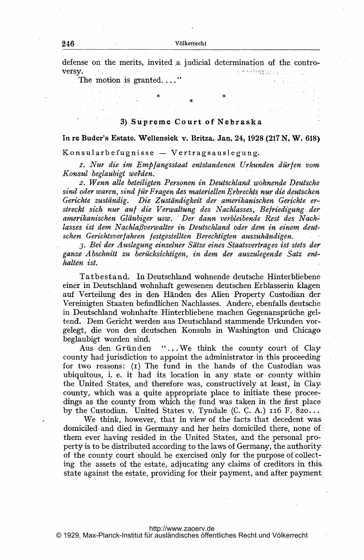defense on the merits, invited a judicial determination of the contron orkiatat*ra* versy.

The motion is granted...."

## 3) Supreme Court of Nebraska

In re Buder's Estate. Wellensiek v. Britza. Jan. 24, <sup>1928</sup> (217 N. W. 618)

.<br>Konsularbefugnisse — Vertragsauslegung.

I. Nur die im Empfangsstaat entstandenen Urkunden dürfen vom Konsul beglaubigt weiden.

2. Wenn alle beteiligten Personen in Deutschland wohnende Deutsche sind oder waren, sind für Fragen des materiellen Erbrechts nur die deutschen Gerichte zuständig. Die Zuständigkeit der amerikanischen Gerichte er streckt sich nur auf die Verwaltung des Nachlasses, Befriedigung der amerikanischen Gläubiger usw. Der dann verbleibende Rest des Nachlasses ist dem Nachlaßverwalter in Deutschland oder dem in einem deutschen Gerichtsverfahren festgestellten Berechtigten auszuhändigen.

3. Bei der Auslegung einzelner Sätze eines Staatsvertrages ist stets der ganze,Abschnitt zu berficksichtigen, in dem der auszulegende Satz enthalten ist.

Tatbestand, In Deutschland wohnende deutsche Hinterbliebene einer in Deutschland wohnhaft gewesenen deutschen Erblasserin klagen auf Verteilung des in den Handen des Alien Property Custodian der Vereinigten Staaten befindlichen Nachlasses. Andere, ebenfalls deutsche in Deutschland wohnhafte Hinterbliebene machen Gegenanspruche geltend. - Dem Gericht werden aus Deutschland stammende Urkunden vorgelegt, die.von den deutschen Konsuln in Washington und Chicago beglaubigt worden sind.

Aus den Gründen "... We think the county court of Clay county had jurisdiction to appoint the administrator in this proceeding for two reasons: (1) The fund in the hands of the Custodian was. ubiquitous, i. e. it had its location in any state or county within the United States, and therefore.was, constructively at least, in Clay, county, which was a quite appropriate place to initiate these proceedings as the county from which the fund was taken in the first place by the Custodian. United States v. Tyndale (C. C. A.)  $116$  F. 820...

We think, however, that in view of the facts that decedent was domiciled and died in Germany and her heirs domiciled there, none of them ever having resided in the United States, and. the personal pro-' perty is to be distributed according to the laws of Germany, the authority of the county court should be exercised only for the purpose of collecting the assets of the estate, adjucating any claims of creditors in this. state against the estate, providing for their payment, and after payment